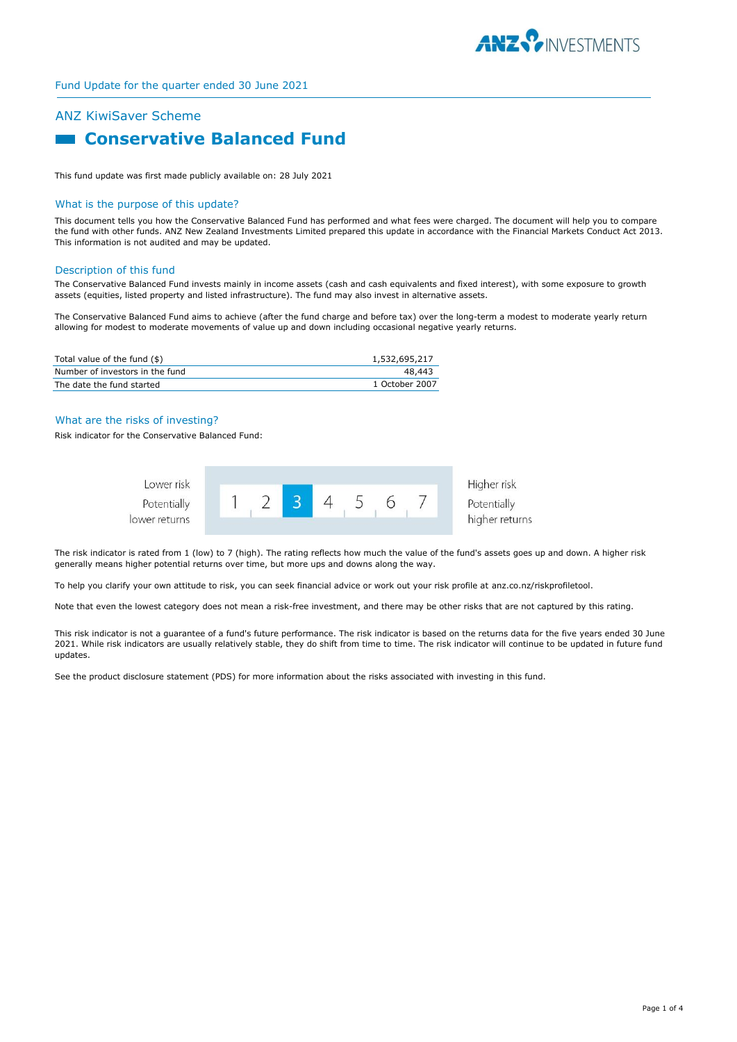

## ANZ KiwiSaver Scheme

# **Example 2 Conservative Balanced Fund**

This fund update was first made publicly available on: 28 July 2021

### What is the purpose of this update?

This document tells you how the Conservative Balanced Fund has performed and what fees were charged. The document will help you to compare the fund with other funds. ANZ New Zealand Investments Limited prepared this update in accordance with the Financial Markets Conduct Act 2013. This information is not audited and may be updated.

#### Description of this fund

The Conservative Balanced Fund invests mainly in income assets (cash and cash equivalents and fixed interest), with some exposure to growth assets (equities, listed property and listed infrastructure). The fund may also invest in alternative assets.

The Conservative Balanced Fund aims to achieve (after the fund charge and before tax) over the long-term a modest to moderate yearly return allowing for modest to moderate movements of value up and down including occasional negative yearly returns.

| Total value of the fund $(\$)$  | 1,532,695,217  |
|---------------------------------|----------------|
| Number of investors in the fund | 48.443         |
| The date the fund started       | 1 October 2007 |

## What are the risks of investing?

Risk indicator for the Conservative Balanced Fund:



The risk indicator is rated from 1 (low) to 7 (high). The rating reflects how much the value of the fund's assets goes up and down. A higher risk generally means higher potential returns over time, but more ups and downs along the way.

To help you clarify your own attitude to risk, you can seek financial advice or work out your risk profile at anz.co.nz/riskprofiletool.

Note that even the lowest category does not mean a risk-free investment, and there may be other risks that are not captured by this rating.

This risk indicator is not a guarantee of a fund's future performance. The risk indicator is based on the returns data for the five years ended 30 June 2021. While risk indicators are usually relatively stable, they do shift from time to time. The risk indicator will continue to be updated in future fund updates.

See the product disclosure statement (PDS) for more information about the risks associated with investing in this fund.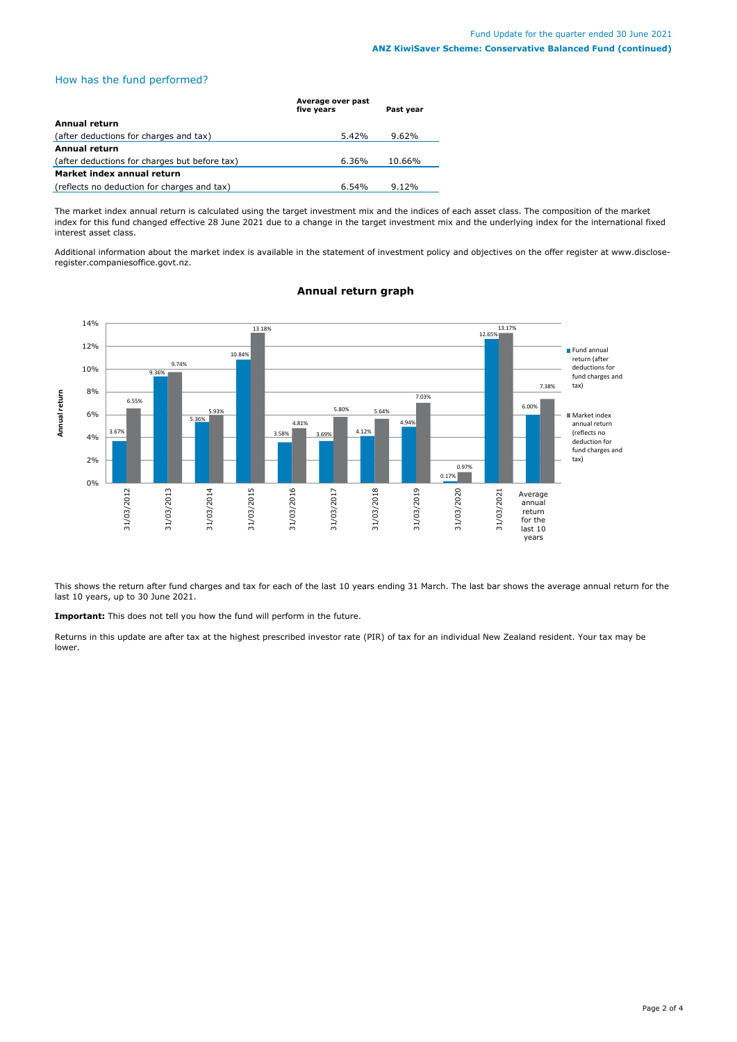## How has the fund performed?

|                                               | Average over past<br>five years | Past year |
|-----------------------------------------------|---------------------------------|-----------|
| Annual return                                 |                                 |           |
| (after deductions for charges and tax)        | $5.42\%$                        | 9.62%     |
| <b>Annual return</b>                          |                                 |           |
| (after deductions for charges but before tax) | 6.36%                           | 10.66%    |
| Market index annual return                    |                                 |           |
| (reflects no deduction for charges and tax)   | 6.54%                           | $9.12\%$  |

The market index annual return is calculated using the target investment mix and the indices of each asset class. The composition of the market index for this fund changed effective 28 June 2021 due to a change in the target investment mix and the underlying index for the international fixed interest asset class.

Additional information about the market index is available in the statement of investment policy and objectives on the offer register at www.discloseregister.companiesoffice.govt.nz.



## **Annual return graph**

This shows the return after fund charges and tax for each of the last 10 years ending 31 March. The last bar shows the average annual return for the last 10 years, up to 30 June 2021.

**Important:** This does not tell you how the fund will perform in the future.

Returns in this update are after tax at the highest prescribed investor rate (PIR) of tax for an individual New Zealand resident. Your tax may be lower.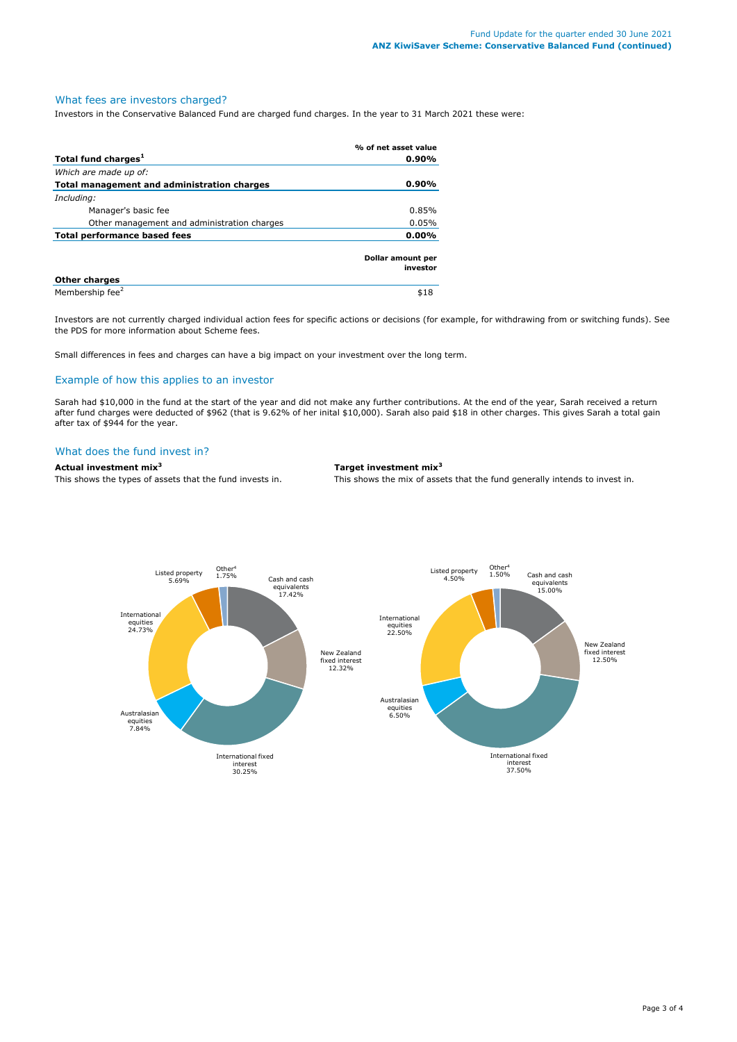## What fees are investors charged?

Investors in the Conservative Balanced Fund are charged fund charges. In the year to 31 March 2021 these were:

|                                             | % of net asset value          |
|---------------------------------------------|-------------------------------|
| Total fund charges <sup>1</sup>             | $0.90\%$                      |
| Which are made up of:                       |                               |
| Total management and administration charges | $0.90\%$                      |
| Including:                                  |                               |
| Manager's basic fee                         | 0.85%                         |
| Other management and administration charges | 0.05%                         |
| Total performance based fees                |                               |
|                                             | Dollar amount per<br>investor |
| <b>Other charges</b>                        |                               |
| Membership fee <sup>2</sup>                 | \$18                          |

Investors are not currently charged individual action fees for specific actions or decisions (for example, for withdrawing from or switching funds). See the PDS for more information about Scheme fees.

Small differences in fees and charges can have a big impact on your investment over the long term.

## Example of how this applies to an investor

Sarah had \$10,000 in the fund at the start of the year and did not make any further contributions. At the end of the year, Sarah received a return after fund charges were deducted of \$962 (that is 9.62% of her inital \$10,000). Sarah also paid \$18 in other charges. This gives Sarah a total gain after tax of \$944 for the year.

## What does the fund invest in?

## **Actual investment mix<sup>3</sup> Target investment mix<sup>3</sup>**

This shows the types of assets that the fund invests in. This shows the mix of assets that the fund generally intends to invest in.